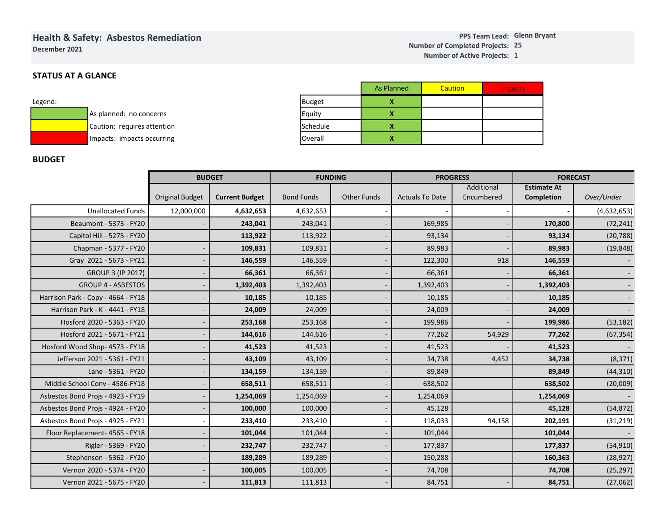# **Health & Safety: Asbestos Remediation**

**December 2021**

### **1 Number of Active Projects:**

# **STATUS AT A GLANCE**

| Legend: |                             |
|---------|-----------------------------|
|         | As planned: no concerns     |
|         | Caution: requires attention |
|         | Impacts: impacts occurring  |

|               | <b>As Planned</b> | Caution | <b>Impacts</b> |
|---------------|-------------------|---------|----------------|
| <b>Budget</b> |                   |         |                |
| Equity        |                   |         |                |
| Schedule      |                   |         |                |
| Overall       |                   |         |                |

## **BUDGET**

|                                    |                        |                       |                   |                    | As Planned         |                        | <b>Caution</b>  |            | <b>Impacts</b> |                    |                 |             |
|------------------------------------|------------------------|-----------------------|-------------------|--------------------|--------------------|------------------------|-----------------|------------|----------------|--------------------|-----------------|-------------|
| Legend:                            |                        | <b>Budget</b>         |                   | X                  |                    |                        |                 |            |                |                    |                 |             |
| As planned: no concerns            |                        |                       | Equity            |                    | X                  |                        |                 |            |                |                    |                 |             |
| Caution: requires attention        |                        | Schedule              |                   | X                  |                    |                        |                 |            |                |                    |                 |             |
| Impacts: impacts occurring         |                        |                       | Overall           |                    | $\pmb{\mathsf{x}}$ |                        |                 |            |                |                    |                 |             |
|                                    |                        |                       |                   |                    |                    |                        |                 |            |                |                    |                 |             |
| <b>BUDGET</b>                      |                        |                       |                   |                    |                    |                        |                 |            |                |                    |                 |             |
|                                    |                        | <b>BUDGET</b>         | <b>FUNDING</b>    |                    |                    |                        | <b>PROGRESS</b> |            |                |                    | <b>FORECAST</b> |             |
|                                    |                        |                       |                   |                    |                    |                        |                 | Additional |                | <b>Estimate At</b> |                 |             |
|                                    | <b>Original Budget</b> | <b>Current Budget</b> | <b>Bond Funds</b> | <b>Other Funds</b> |                    | <b>Actuals To Date</b> |                 | Encumbered |                | Completion         |                 | Over/Under  |
| <b>Unallocated Funds</b>           | 12,000,000             | 4,632,653             | 4,632,653         |                    |                    |                        |                 |            |                |                    |                 | (4,632,653) |
| Beaumont - 5373 - FY20             |                        | 243,041               | 243,041           |                    |                    |                        | 169,985         |            |                |                    | 170,800         | (72, 241)   |
| Capitol Hill - 5275 - FY20         |                        | 113,922               | 113,922           |                    |                    |                        | 93,134          |            |                |                    | 93,134          | (20, 788)   |
| Chapman - 5377 - FY20              |                        | 109,831               | 109,831           |                    |                    |                        | 89,983          |            |                |                    | 89,983          | (19, 848)   |
| Gray 2021 - 5673 - FY21            |                        | 146,559               | 146,559           |                    |                    |                        | 122,300         | 918        |                | 146,559            |                 |             |
| <b>GROUP 3 (IP 2017)</b>           |                        | 66,361                | 66,361            |                    |                    |                        | 66,361          |            |                | 66,361             |                 |             |
| <b>GROUP 4 - ASBESTOS</b>          |                        | 1,392,403             | 1,392,403         |                    |                    |                        | 1,392,403       |            |                | 1,392,403          |                 |             |
| Harrison Park - Copy - 4664 - FY18 |                        | 10,185                | 10,185            |                    |                    |                        | 10,185          |            |                |                    | 10,185          |             |
| Harrison Park - K - 4441 - FY18    |                        | 24,009                | 24,009            |                    |                    |                        | 24,009          |            |                |                    | 24,009          |             |
| Hosford 2020 - 5363 - FY20         |                        | 253,168               | 253,168           |                    |                    |                        | 199,986         |            |                |                    | 199,986         | (53, 182)   |
| Hosford 2021 - 5671 - FY21         |                        | 144,616               | 144,616           |                    |                    | 77,262                 |                 | 54,929     |                | 77,262             |                 | (67, 354)   |
| Hosford Wood Shop- 4573 - FY18     |                        | 41,523                | 41,523            |                    |                    |                        | 41,523          |            |                |                    | 41,523          |             |
| Jefferson 2021 - 5361 - FY21       |                        | 43,109                | 43,109            |                    |                    |                        | 34,738          |            | 4,452          |                    | 34,738          | (8, 371)    |
| Lane - 5361 - FY20                 |                        | 134,159               | 134,159           |                    |                    |                        | 89,849          |            |                |                    | 89,849          | (44, 310)   |
| Middle School Conv - 4586-FY18     |                        | 658,511               | 658,511           |                    |                    | 638,502                |                 |            |                |                    | 638,502         | (20,009)    |
| Asbestos Bond Projs - 4923 - FY19  |                        | 1,254,069             | 1,254,069         |                    |                    | 1,254,069              |                 |            |                |                    | 1,254,069       |             |
| Asbestos Bond Projs - 4924 - FY20  |                        | 100,000               | 100,000           |                    |                    | 45,128                 |                 |            |                | 45,128             |                 | (54, 872)   |
| Asbestos Bond Projs - 4925 - FY21  |                        | 233,410               | 233,410           |                    |                    |                        | 118,033         | 94,158     |                | 202,191            |                 | (31, 219)   |
| Floor Replacement- 4565 - FY18     |                        | 101,044               | 101,044           |                    |                    |                        | 101,044         |            |                |                    | 101,044         |             |
| Rigler - 5369 - FY20               |                        | 232,747               | 232,747           |                    |                    |                        | 177,837         |            |                |                    | 177,837         | (54, 910)   |
| Stephenson - 5362 - FY20           |                        | 189,289               | 189,289           |                    |                    |                        | 150,288         |            |                |                    | 160,363         | (28, 927)   |
| Vernon 2020 - 5374 - FY20          |                        | 100,005               | 100,005           |                    |                    |                        | 74,708          |            |                |                    | 74,708          | (25, 297)   |
| Vernon 2021 - 5675 - FY20          |                        | 111,813               | 111,813           |                    |                    |                        | 84,751          |            |                |                    | 84,751          | (27,062)    |